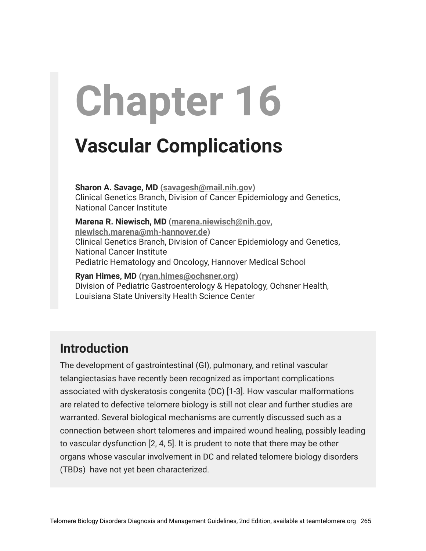# **Chapter 16**

# **Vascular Complications**

**Sharon A. Savage, MD ([savagesh@mail.nih.gov\)](mailto:savagesh@mail.nih.gov)** Clinical Genetics Branch, Division of Cancer Epidemiology and Genetics, National Cancer Institute

**Marena R. Niewisch, MD ([marena.niewisch@nih.gov,](mailto:marena.niewisch@nih.gov) [niewisch.marena@mh-hannover.de](mailto:niewisch.marena@mh-hannover.de))** Clinical Genetics Branch, Division of Cancer Epidemiology and Genetics, National Cancer Institute Pediatric Hematology and Oncology, Hannover Medical School

**Ryan Himes, MD ([ryan.himes@ochsner.org](mailto:ryan.himes@ochsner.org))** Division of Pediatric Gastroenterology & Hepatology, Ochsner Health, Louisiana State University Health Science Center

# **Introduction**

The development of gastrointestinal (GI), pulmonary, and retinal vascular telangiectasias have recently been recognized as important complications associated with dyskeratosis congenita (DC) [1-3]. How vascular malformations are related to defective telomere biology is still not clear and further studies are warranted. Several biological mechanisms are currently discussed such as a connection between short telomeres and impaired wound healing, possibly leading to vascular dysfunction [2, 4, 5]. It is prudent to note that there may be other organs whose vascular involvement in DC and related telomere biology disorders (TBDs) have not yet been characterized.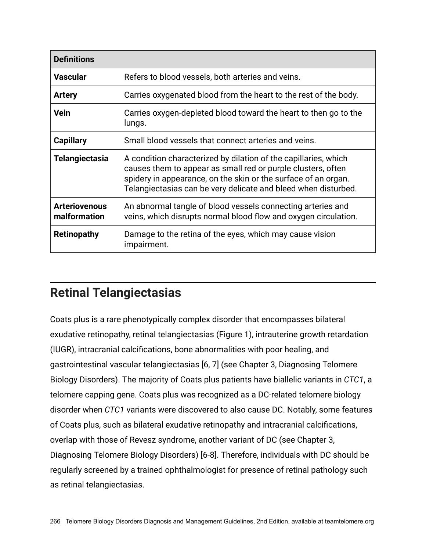| <b>Definitions</b>                   |                                                                                                                                                                                                                                                                     |
|--------------------------------------|---------------------------------------------------------------------------------------------------------------------------------------------------------------------------------------------------------------------------------------------------------------------|
| <b>Vascular</b>                      | Refers to blood vessels, both arteries and veins.                                                                                                                                                                                                                   |
| <b>Artery</b>                        | Carries oxygenated blood from the heart to the rest of the body.                                                                                                                                                                                                    |
| <b>Vein</b>                          | Carries oxygen-depleted blood toward the heart to then go to the<br>lungs.                                                                                                                                                                                          |
| <b>Capillary</b>                     | Small blood vessels that connect arteries and veins.                                                                                                                                                                                                                |
| <b>Telangiectasia</b>                | A condition characterized by dilation of the capillaries, which<br>causes them to appear as small red or purple clusters, often<br>spidery in appearance, on the skin or the surface of an organ.<br>Telangiectasias can be very delicate and bleed when disturbed. |
| <b>Arteriovenous</b><br>malformation | An abnormal tangle of blood vessels connecting arteries and<br>veins, which disrupts normal blood flow and oxygen circulation.                                                                                                                                      |
| <b>Retinopathy</b>                   | Damage to the retina of the eyes, which may cause vision<br>impairment.                                                                                                                                                                                             |

## **Retinal Telangiectasias**

Coats plus is a rare phenotypically complex disorder that encompasses bilateral exudative retinopathy, retinal telangiectasias (Figure 1), intrauterine growth retardation (IUGR), intracranial calcifications, bone abnormalities with poor healing, and gastrointestinal vascular telangiectasias [6, 7] (see Chapter 3, Diagnosing Telomere Biology Disorders). The majority of Coats plus patients have biallelic variants in *CTC1*, a telomere capping gene. Coats plus was recognized as a DC-related telomere biology disorder when *CTC1* variants were discovered to also cause DC. Notably, some features of Coats plus, such as bilateral exudative retinopathy and intracranial calcifications, overlap with those of Revesz syndrome, another variant of DC (see Chapter 3, Diagnosing Telomere Biology Disorders) [6-8]. Therefore, individuals with DC should be regularly screened by a trained ophthalmologist for presence of retinal pathology such as retinal telangiectasias.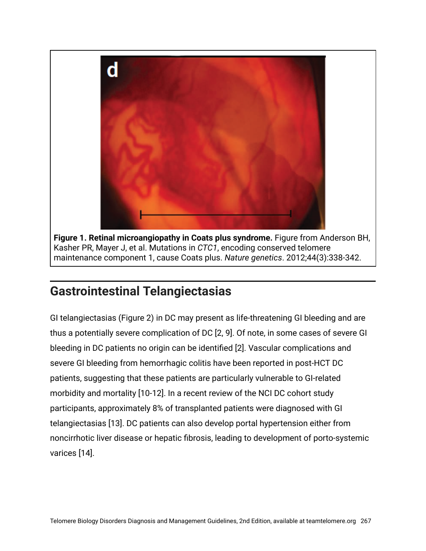

**Figure 1. Retinal microangiopathy in Coats plus syndrome.** Figure from Anderson BH, Kasher PR, Mayer J, et al. Mutations in *CTC1*, encoding conserved telomere maintenance component 1, cause Coats plus. *Nature genetics*. 2012;44(3):338-342.

## **Gastrointestinal Telangiectasias**

GI telangiectasias (Figure 2) in DC may present as life-threatening GI bleeding and are thus a potentially severe complication of DC [2, 9]. Of note, in some cases of severe GI bleeding in DC patients no origin can be identified [2]. Vascular complications and severe GI bleeding from hemorrhagic colitis have been reported in post-HCT DC patients, suggesting that these patients are particularly vulnerable to GI-related morbidity and mortality [10-12]. In a recent review of the NCI DC cohort study participants, approximately 8% of transplanted patients were diagnosed with GI telangiectasias [13]. DC patients can also develop portal hypertension either from noncirrhotic liver disease or hepatic fibrosis, leading to development of porto-systemic varices [14].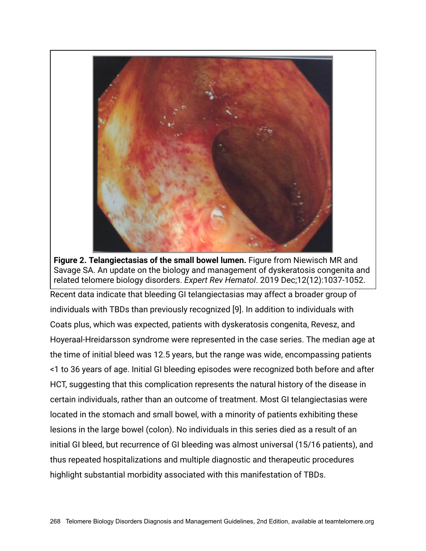

**Figure 2. Telangiectasias of the small bowel lumen.** Figure from Niewisch MR and Savage SA. An update on the biology and management of dyskeratosis congenita and related telomere biology disorders. *Expert Rev Hematol*. 2019 Dec;12(12):1037-1052.

Recent data indicate that bleeding GI telangiectasias may affect a broader group of individuals with TBDs than previously recognized [9]. In addition to individuals with Coats plus, which was expected, patients with dyskeratosis congenita, Revesz, and Hoyeraal-Hreidarsson syndrome were represented in the case series. The median age at the time of initial bleed was 12.5 years, but the range was wide, encompassing patients <1 to 36 years of age. Initial GI bleeding episodes were recognized both before and after HCT, suggesting that this complication represents the natural history of the disease in certain individuals, rather than an outcome of treatment. Most GI telangiectasias were located in the stomach and small bowel, with a minority of patients exhibiting these lesions in the large bowel (colon). No individuals in this series died as a result of an initial GI bleed, but recurrence of GI bleeding was almost universal (15/16 patients), and thus repeated hospitalizations and multiple diagnostic and therapeutic procedures highlight substantial morbidity associated with this manifestation of TBDs.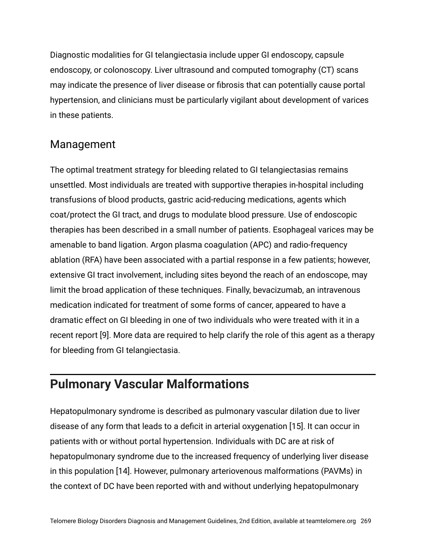Diagnostic modalities for GI telangiectasia include upper GI endoscopy, capsule endoscopy, or colonoscopy. Liver ultrasound and computed tomography (CT) scans may indicate the presence of liver disease or fibrosis that can potentially cause portal hypertension, and clinicians must be particularly vigilant about development of varices in these patients.

#### Management

The optimal treatment strategy for bleeding related to GI telangiectasias remains unsettled. Most individuals are treated with supportive therapies in-hospital including transfusions of blood products, gastric acid-reducing medications, agents which coat/protect the GI tract, and drugs to modulate blood pressure. Use of endoscopic therapies has been described in a small number of patients. Esophageal varices may be amenable to band ligation. Argon plasma coagulation (APC) and radio-frequency ablation (RFA) have been associated with a partial response in a few patients; however, extensive GI tract involvement, including sites beyond the reach of an endoscope, may limit the broad application of these techniques. Finally, bevacizumab, an intravenous medication indicated for treatment of some forms of cancer, appeared to have a dramatic effect on GI bleeding in one of two individuals who were treated with it in a recent report [9]. More data are required to help clarify the role of this agent as a therapy for bleeding from GI telangiectasia.

## **Pulmonary Vascular Malformations**

Hepatopulmonary syndrome is described as pulmonary vascular dilation due to liver disease of any form that leads to a deficit in arterial oxygenation [15]. It can occur in patients with or without portal hypertension. Individuals with DC are at risk of hepatopulmonary syndrome due to the increased frequency of underlying liver disease in this population [14]. However, pulmonary arteriovenous malformations (PAVMs) in the context of DC have been reported with and without underlying hepatopulmonary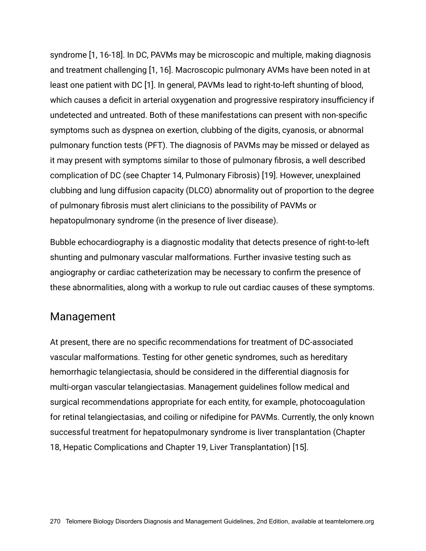syndrome [1, 16-18]. In DC, PAVMs may be microscopic and multiple, making diagnosis and treatment challenging [1, 16]. Macroscopic pulmonary AVMs have been noted in at least one patient with DC [1]. In general, PAVMs lead to right-to-left shunting of blood, which causes a deficit in arterial oxygenation and progressive respiratory insufficiency if undetected and untreated. Both of these manifestations can present with non-specific symptoms such as dyspnea on exertion, clubbing of the digits, cyanosis, or abnormal pulmonary function tests (PFT). The diagnosis of PAVMs may be missed or delayed as it may present with symptoms similar to those of pulmonary fibrosis, a well described complication of DC (see Chapter 14, Pulmonary Fibrosis) [19]. However, unexplained clubbing and lung diffusion capacity (DLCO) abnormality out of proportion to the degree of pulmonary fibrosis must alert clinicians to the possibility of PAVMs or hepatopulmonary syndrome (in the presence of liver disease).

Bubble echocardiography is a diagnostic modality that detects presence of right-to-left shunting and pulmonary vascular malformations. Further invasive testing such as angiography or cardiac catheterization may be necessary to confirm the presence of these abnormalities, along with a workup to rule out cardiac causes of these symptoms.

#### Management

At present, there are no specific recommendations for treatment of DC-associated vascular malformations. Testing for other genetic syndromes, such as hereditary hemorrhagic telangiectasia, should be considered in the differential diagnosis for multi-organ vascular telangiectasias. Management guidelines follow medical and surgical recommendations appropriate for each entity, for example, photocoagulation for retinal telangiectasias, and coiling or nifedipine for PAVMs. Currently, the only known successful treatment for hepatopulmonary syndrome is liver transplantation (Chapter 18, Hepatic Complications and Chapter 19, Liver Transplantation) [15].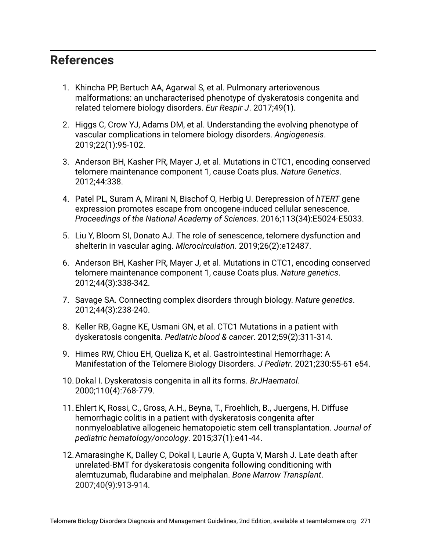#### **References**

- 1. Khincha PP, Bertuch AA, Agarwal S, et al. Pulmonary arteriovenous malformations: an uncharacterised phenotype of dyskeratosis congenita and related telomere biology disorders. *Eur Respir J*. 2017;49(1).
- 2. Higgs C, Crow YJ, Adams DM, et al. Understanding the evolving phenotype of vascular complications in telomere biology disorders. *Angiogenesis*. 2019;22(1):95-102.
- 3. Anderson BH, Kasher PR, Mayer J, et al. Mutations in CTC1, encoding conserved telomere maintenance component 1, cause Coats plus. *Nature Genetics*. 2012;44:338.
- 4. Patel PL, Suram A, Mirani N, Bischof O, Herbig U. Derepression of *hTERT* gene expression promotes escape from oncogene-induced cellular senescence. *Proceedings of the National Academy of Sciences*. 2016;113(34):E5024-E5033.
- 5. Liu Y, Bloom SI, Donato AJ. The role of senescence, telomere dysfunction and shelterin in vascular aging. *Microcirculation*. 2019;26(2):e12487.
- 6. Anderson BH, Kasher PR, Mayer J, et al. Mutations in CTC1, encoding conserved telomere maintenance component 1, cause Coats plus. *Nature genetics*. 2012;44(3):338-342.
- 7. Savage SA. Connecting complex disorders through biology. *Nature genetics*. 2012;44(3):238-240.
- 8. Keller RB, Gagne KE, Usmani GN, et al. CTC1 Mutations in a patient with dyskeratosis congenita. *Pediatric blood & cancer*. 2012;59(2):311-314.
- 9. Himes RW, Chiou EH, Queliza K, et al. Gastrointestinal Hemorrhage: A Manifestation of the Telomere Biology Disorders. *J Pediatr*. 2021;230:55-61 e54.
- 10.Dokal I. Dyskeratosis congenita in all its forms. *BrJHaematol*. 2000;110(4):768-779.
- 11.Ehlert K, Rossi, C., Gross, A.H., Beyna, T., Froehlich, B., Juergens, H. Diffuse hemorrhagic colitis in a patient with dyskeratosis congenita after nonmyeloablative allogeneic hematopoietic stem cell transplantation. *Journal of pediatric hematology/oncology*. 2015;37(1):e41-44.
- 12.Amarasinghe K, Dalley C, Dokal I, Laurie A, Gupta V, Marsh J. Late death after unrelated-BMT for dyskeratosis congenita following conditioning with alemtuzumab, fludarabine and melphalan. *Bone Marrow Transplant*. 2007;40(9):913-914.